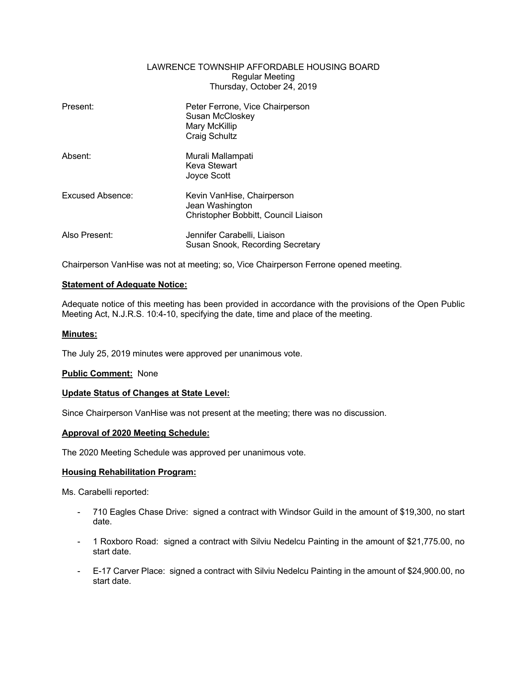### LAWRENCE TOWNSHIP AFFORDABLE HOUSING BOARD Regular Meeting Thursday, October 24, 2019

| Present:         | Peter Ferrone, Vice Chairperson<br>Susan McCloskey<br>Mary McKillip<br><b>Craig Schultz</b> |
|------------------|---------------------------------------------------------------------------------------------|
| Absent:          | Murali Mallampati<br>Keva Stewart<br>Joyce Scott                                            |
| Excused Absence: | Kevin VanHise, Chairperson<br>Jean Washington<br>Christopher Bobbitt, Council Liaison       |
| Also Present:    | Jennifer Carabelli, Liaison<br>Susan Snook, Recording Secretary                             |

Chairperson VanHise was not at meeting; so, Vice Chairperson Ferrone opened meeting.

## **Statement of Adequate Notice:**

Adequate notice of this meeting has been provided in accordance with the provisions of the Open Public Meeting Act, N.J.R.S. 10:4-10, specifying the date, time and place of the meeting.

## **Minutes:**

The July 25, 2019 minutes were approved per unanimous vote.

# **Public Comment:** None

#### **Update Status of Changes at State Level:**

Since Chairperson VanHise was not present at the meeting; there was no discussion.

#### **Approval of 2020 Meeting Schedule:**

The 2020 Meeting Schedule was approved per unanimous vote.

#### **Housing Rehabilitation Program:**

Ms. Carabelli reported:

- 710 Eagles Chase Drive: signed a contract with Windsor Guild in the amount of \$19,300, no start date.
- 1 Roxboro Road: signed a contract with Silviu Nedelcu Painting in the amount of \$21,775.00, no start date.
- E-17 Carver Place: signed a contract with Silviu Nedelcu Painting in the amount of \$24,900.00, no start date.